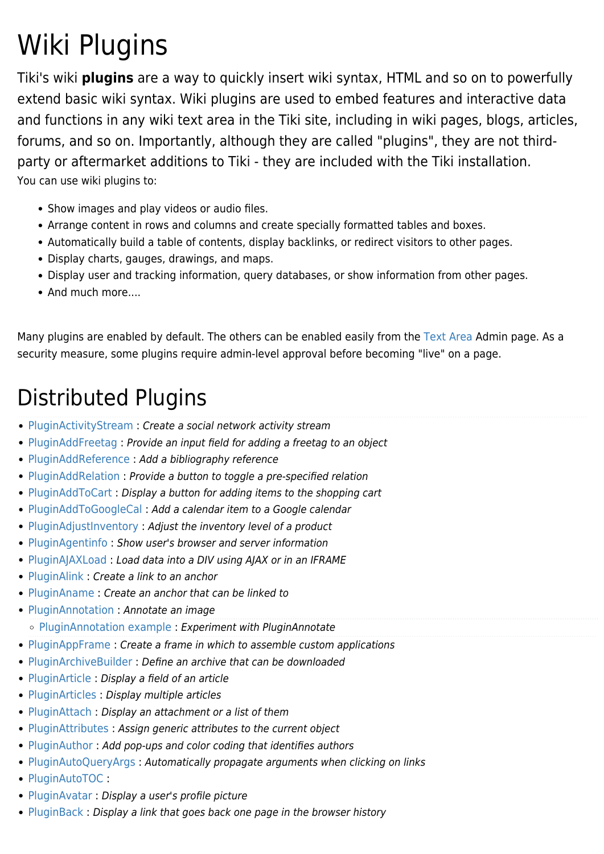# Wiki Plugins

Tiki's wiki **plugins** are a way to quickly insert wiki syntax, HTML and so on to powerfully extend basic wiki syntax. Wiki plugins are used to embed features and interactive data and functions in any wiki text area in the Tiki site, including in wiki pages, blogs, articles, forums, and so on. Importantly, although they are called "plugins", they are not thirdparty or aftermarket additions to Tiki - they are included with the Tiki installation. You can use wiki plugins to:

- Show images and play videos or audio files.
- Arrange content in rows and columns and create specially formatted tables and boxes.
- Automatically build a table of contents, display backlinks, or redirect visitors to other pages.
- Display charts, gauges, drawings, and maps.
- Display user and tracking information, query databases, or show information from other pages.
- And much more....

Many plugins are enabled by default. The others can be enabled easily from the [Text Area](https://doc.tiki.org/Text-area) Admin page. As a security measure, some plugins require admin-level approval before becoming "live" on a page.

# Distributed Plugins

- [PluginActivityStream](https://doc.tiki.org/PluginActivityStream?structure=HomePage+Plugins) : Create a social network activity stream
- [PluginAddFreetag](https://doc.tiki.org/PluginAddFreetag) : Provide an input field for adding a freetag to an object
- [PluginAddReference](https://doc.tiki.org/PluginAddReference) : Add a bibliography reference
- [PluginAddRelation](https://doc.tiki.org/PluginAddRelation) : Provide a button to toggle a pre-specified relation
- [PluginAddToCart](https://doc.tiki.org/PluginAddToCart) : Display a button for adding items to the shopping cart
- [PluginAddToGoogleCal](https://doc.tiki.org/PluginAddToGoogleCal) : Add a calendar item to a Google calendar
- [PluginAdjustInventory](https://doc.tiki.org/PluginAdjustInventory) : Adjust the inventory level of a product
- PluginAgentinfo: Show user's browser and server information
- [PluginAJAXLoad](https://doc.tiki.org/PluginAJAXLoad): Load data into a DIV using AJAX or in an IFRAME
- [PluginAlink](https://doc.tiki.org/PluginAlink) : Create a link to an anchor
- [PluginAname](https://doc.tiki.org/PluginAname) : Create an anchor that can be linked to
- [PluginAnnotation](https://doc.tiki.org/PluginAnnotation) : Annotate an image
	- [PluginAnnotation example](https://doc.tiki.org/PluginAnnotation-example) : Experiment with PluginAnnotate
- [PluginAppFrame](https://doc.tiki.org/PluginAppFrame) : Create a frame in which to assemble custom applications
- [PluginArchiveBuilder](https://doc.tiki.org/PluginArchiveBuilder) : Define an archive that can be downloaded
- [PluginArticle](https://doc.tiki.org/PluginArticle) : Display a field of an article
- [PluginArticles](https://doc.tiki.org/PluginArticles) : Display multiple articles
- [PluginAttach](https://doc.tiki.org/PluginAttach) : Display an attachment or a list of them
- [PluginAttributes](https://doc.tiki.org/PluginAttributes) : Assign generic attributes to the current object
- [PluginAuthor](https://doc.tiki.org/PluginAuthor): Add pop-ups and color coding that identifies authors
- [PluginAutoQueryArgs](https://doc.tiki.org/PluginAutoQueryArgs) : Automatically propagate arguments when clicking on links
- [PluginAutoTOC](https://doc.tiki.org/PluginAutoTOC) :
- [PluginAvatar](https://doc.tiki.org/PluginAvatar) : Display a user's profile picture
- [PluginBack](https://doc.tiki.org/PluginBack) : Display a link that goes back one page in the browser history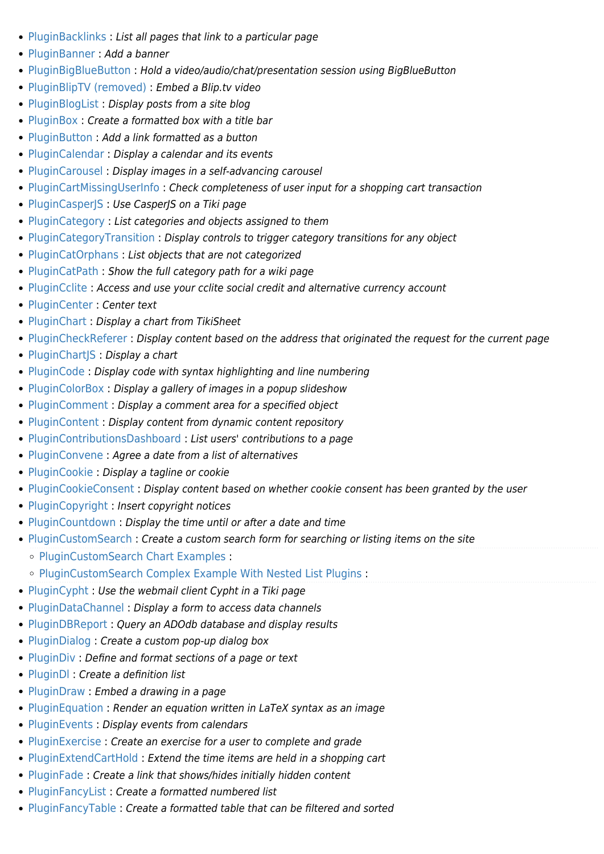- [PluginBacklinks](https://doc.tiki.org/PluginBacklinks) : List all pages that link to a particular page
- [PluginBanner](https://doc.tiki.org/PluginBanner) : Add a banner
- [PluginBigBlueButton](https://doc.tiki.org/PluginBigBlueButton) : Hold a video/audio/chat/presentation session using BigBlueButton
- [PluginBlipTV \(removed\)](https://doc.tiki.org/PluginBlipTV) : Embed a Blip.tv video
- [PluginBlogList](https://doc.tiki.org/PluginBlogList) : Display posts from a site blog
- [PluginBox](https://doc.tiki.org/PluginBox) : Create a formatted box with a title bar
- [PluginButton](https://doc.tiki.org/PluginButton) : Add a link formatted as a button
- [PluginCalendar](https://doc.tiki.org/PluginCalendar) : Display a calendar and its events
- [PluginCarousel](https://doc.tiki.org/PluginCarousel) : Display images in a self-advancing carousel
- [PluginCartMissingUserInfo](https://doc.tiki.org/PluginCartMissingUserInfo): Check completeness of user input for a shopping cart transaction
- [PluginCasperJS](https://doc.tiki.org/PluginCasperJS) : Use CasperJS on a Tiki page
- [PluginCategory](https://doc.tiki.org/PluginCategory) : List categories and objects assigned to them
- [PluginCategoryTransition](https://doc.tiki.org/PluginCategoryTransition) : Display controls to trigger category transitions for any object
- [PluginCatOrphans](https://doc.tiki.org/PluginCatOrphans) : List objects that are not categorized
- [PluginCatPath](https://doc.tiki.org/PluginCatPath) : Show the full category path for a wiki page
- [PluginCclite](https://doc.tiki.org/PluginCclite) : Access and use your cclite social credit and alternative currency account
- [PluginCenter](https://doc.tiki.org/PluginCenter) : Center text
- [PluginChart](https://doc.tiki.org/PluginChart) : Display a chart from TikiSheet
- [PluginCheckReferer](https://doc.tiki.org/PluginCheckReferer) : Display content based on the address that originated the request for the current page
- [PluginChartJS](https://doc.tiki.org/PluginChartJS) : Display a chart
- [PluginCode](https://doc.tiki.org/PluginCode): Display code with syntax highlighting and line numbering
- [PluginColorBox](https://doc.tiki.org/PluginColorBox) : Display a gallery of images in a popup slideshow
- [PluginComment](https://doc.tiki.org/PluginComment) : Display a comment area for a specified object
- [PluginContent](https://doc.tiki.org/PluginContent) : Display content from dynamic content repository
- [PluginContributionsDashboard](https://doc.tiki.org/PluginContributionsDashboard) : List users' contributions to a page
- PluginConvene: Agree a date from a list of alternatives
- [PluginCookie](https://doc.tiki.org/PluginCookie) : Display a tagline or cookie
- [PluginCookieConsent](https://doc.tiki.org/PluginCookieConsent) : Display content based on whether cookie consent has been granted by the user
- [PluginCopyright](https://doc.tiki.org/PluginCopyright) : Insert copyright notices
- [PluginCountdown](https://doc.tiki.org/PluginCountdown) : Display the time until or after a date and time
- [PluginCustomSearch](https://doc.tiki.org/PluginCustomSearch) : Create a custom search form for searching or listing items on the site
	- [PluginCustomSearch Chart Examples](https://doc.tiki.org/PluginCustomSearch-Chart-Examples) :
	- [PluginCustomSearch Complex Example With Nested List Plugins](https://doc.tiki.org/PluginCustomSearch-Complex-Example-With-Nested-List-Plugins) :
- [PluginCypht](https://doc.tiki.org/PluginCypht) : Use the webmail client Cypht in a Tiki page
- [PluginDataChannel](https://doc.tiki.org/PluginDataChannel) : Display a form to access data channels
- [PluginDBReport](https://doc.tiki.org/PluginDBReport) : Query an ADOdb database and display results
- [PluginDialog](https://doc.tiki.org/PluginDialog) : Create a custom pop-up dialog box
- [PluginDiv](https://doc.tiki.org/PluginDiv) : Define and format sections of a page or text
- PluginDI : Create a definition list
- [PluginDraw](https://doc.tiki.org/PluginDraw) : Embed a drawing in a page
- [PluginEquation](https://doc.tiki.org/PluginEquation) : Render an equation written in LaTeX syntax as an image
- [PluginEvents](https://doc.tiki.org/PluginEvents) : Display events from calendars
- [PluginExercise](https://doc.tiki.org/PluginExercise) : Create an exercise for a user to complete and grade
- [PluginExtendCartHold](https://doc.tiki.org/PluginExtendCartHold) : Extend the time items are held in a shopping cart
- [PluginFade](https://doc.tiki.org/PluginFade) : Create a link that shows/hides initially hidden content
- [PluginFancyList](https://doc.tiki.org/PluginFancyList) : Create a formatted numbered list
- [PluginFancyTable](https://doc.tiki.org/PluginFancyTable) : Create a formatted table that can be filtered and sorted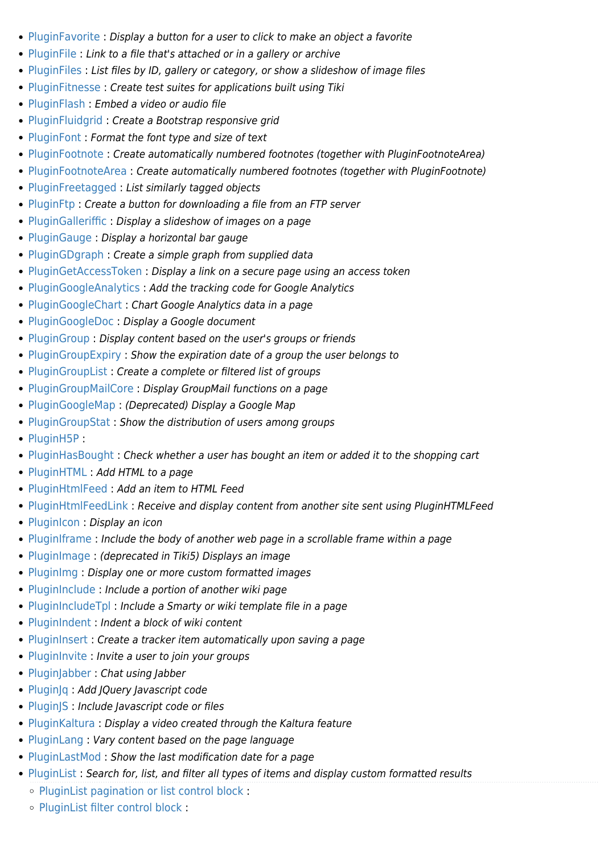- [PluginFavorite](https://doc.tiki.org/PluginFavorite) : Display a button for a user to click to make an object a favorite
- [PluginFile](https://doc.tiki.org/PluginFile) : Link to a file that's attached or in a gallery or archive
- [PluginFiles](https://doc.tiki.org/PluginFiles) : List files by ID, gallery or category, or show a slideshow of image files
- [PluginFitnesse](https://doc.tiki.org/PluginFitnesse) : Create test suites for applications built using Tiki
- [PluginFlash](https://doc.tiki.org/PluginFlash): Embed a video or audio file
- [PluginFluidgrid](https://doc.tiki.org/PluginFluidgrid) : Create a Bootstrap responsive grid
- [PluginFont](https://doc.tiki.org/PluginFont) : Format the font type and size of text
- [PluginFootnote](https://doc.tiki.org/PluginFootnote) : Create automatically numbered footnotes (together with PluginFootnoteArea)
- [PluginFootnoteArea](https://doc.tiki.org/PluginFootnoteArea) : Create automatically numbered footnotes (together with PluginFootnote)
- [PluginFreetagged](https://doc.tiki.org/PluginFreetagged) : List similarly tagged objects
- [PluginFtp](https://doc.tiki.org/PluginFtp) : Create a button for downloading a file from an FTP server
- [PluginGalleriffic](https://doc.tiki.org/PluginGalleriffic) : Display a slideshow of images on a page
- [PluginGauge](https://doc.tiki.org/PluginGauge) : Display a horizontal bar gauge
- [PluginGDgraph](https://doc.tiki.org/PluginGDgraph) : Create a simple graph from supplied data
- [PluginGetAccessToken](https://doc.tiki.org/PluginGetAccessToken) : Display a link on a secure page using an access token
- [PluginGoogleAnalytics](https://doc.tiki.org/PluginGoogleAnalytics) : Add the tracking code for Google Analytics
- [PluginGoogleChart](https://doc.tiki.org/PluginGoogleChart) : Chart Google Analytics data in a page
- [PluginGoogleDoc](https://doc.tiki.org/PluginGoogleDoc) : Display a Google document
- [PluginGroup](https://doc.tiki.org/PluginGroup) : Display content based on the user's groups or friends
- [PluginGroupExpiry](https://doc.tiki.org/PluginGroupExpiry) : Show the expiration date of a group the user belongs to
- [PluginGroupList](https://doc.tiki.org/PluginGroupList) : Create a complete or filtered list of groups
- [PluginGroupMailCore](https://doc.tiki.org/PluginGroupMailCore) : Display GroupMail functions on a page
- [PluginGoogleMap](https://doc.tiki.org/PluginGoogleMap) : (Deprecated) Display a Google Map
- [PluginGroupStat](https://doc.tiki.org/PluginGroupStat) : Show the distribution of users among groups
- [PluginH5P](https://doc.tiki.org/PluginH5P) :
- [PluginHasBought](https://doc.tiki.org/PluginHasBought) : Check whether a user has bought an item or added it to the shopping cart
- [PluginHTML](https://doc.tiki.org/PluginHTML) : Add HTML to a page
- [PluginHtmlFeed](https://doc.tiki.org/PluginHtmlFeed) : Add an item to HTML Feed
- [PluginHtmlFeedLink](https://doc.tiki.org/PluginHtmlFeedLink) : Receive and display content from another site sent using PluginHTMLFeed
- [PluginIcon](https://doc.tiki.org/PluginIcon) : Display an icon
- [PluginIframe](https://doc.tiki.org/PluginIframe) : Include the body of another web page in a scrollable frame within a page
- [PluginImage](https://doc.tiki.org/PluginImage) : (deprecated in Tiki5) Displays an image
- [PluginImg](https://doc.tiki.org/PluginImg) : Display one or more custom formatted images
- [PluginInclude](https://doc.tiki.org/PluginInclude) : Include a portion of another wiki page
- [PluginIncludeTpl](https://doc.tiki.org/PluginIncludeTpl) : Include a Smarty or wiki template file in a page
- [PluginIndent](https://doc.tiki.org/PluginIndent) : Indent a block of wiki content
- [PluginInsert](https://doc.tiki.org/PluginInsert) : Create a tracker item automatically upon saving a page
- [PluginInvite](https://doc.tiki.org/PluginInvite) : Invite a user to join your groups
- [PluginJabber](https://doc.tiki.org/PluginJabber) : Chat using Jabber
- [PluginJq](https://doc.tiki.org/PluginJq) : Add JQuery Javascript code
- [PluginJS](https://doc.tiki.org/PluginJS) : Include Javascript code or files
- [PluginKaltura](https://doc.tiki.org/PluginKaltura) : Display a video created through the Kaltura feature
- [PluginLang](https://doc.tiki.org/PluginLang) : Vary content based on the page language
- [PluginLastMod](https://doc.tiki.org/PluginLastMod) : Show the last modification date for a page
- [PluginList](https://doc.tiki.org/PluginList) : Search for, list, and filter all types of items and display custom formatted results
	- o [PluginList pagination or list control block](https://doc.tiki.org/PluginList-pagination-or-list-control-block) :
	- o [PluginList filter control block](https://doc.tiki.org/PluginList-filter-control-block) :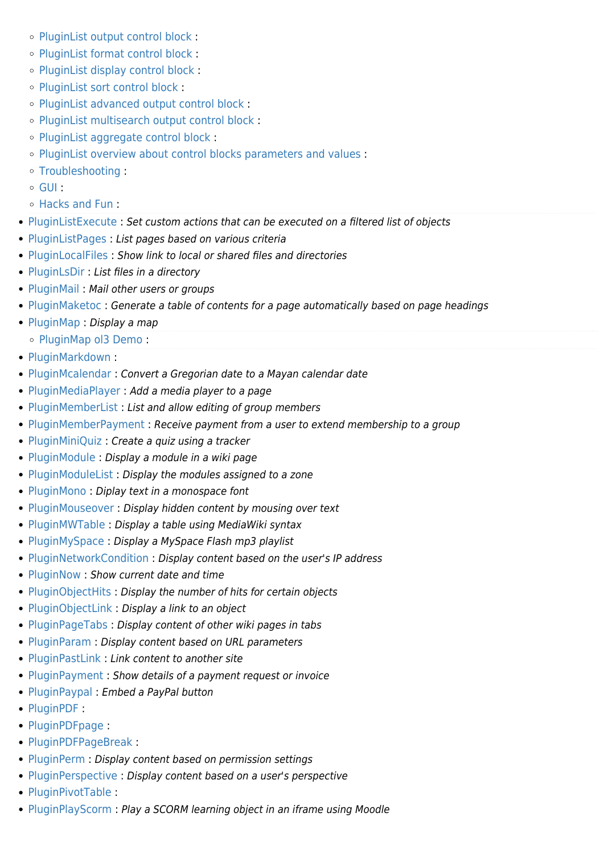- [PluginList output control block](https://doc.tiki.org/PluginList-output-control-block) :
- o [PluginList format control block](https://doc.tiki.org/PluginList-format-control-block) :
- $\circ$  [PluginList display control block](https://doc.tiki.org/PluginList-display-control-block) :
- o [PluginList sort control block](https://doc.tiki.org/PluginList-sort-control-block) :
- [PluginList advanced output control block](https://doc.tiki.org/PluginList-advanced-output-control-block) :
- o [PluginList multisearch output control block](https://doc.tiki.org/PluginList-multisearch-output-control-block) :
- [PluginList aggregate control block](https://doc.tiki.org/PluginList-aggregate-control-block) :
- [PluginList overview about control blocks parameters and values](https://doc.tiki.org/PluginList-overview-about-control-blocks-parameters-and-values) :
- [Troubleshooting](https://doc.tiki.org/PluginList---Troubleshooting-The-List-Plugin) :
- $\circ$  [GUI](https://doc.tiki.org/PluginList---Graphical-User-Interface) :
- [Hacks and Fun](https://doc.tiki.org/PluginList---Hacks-and-Fun) :
- [PluginListExecute](https://doc.tiki.org/PluginListExecute) : Set custom actions that can be executed on a filtered list of objects
- [PluginListPages](https://doc.tiki.org/PluginListPages) : List pages based on various criteria
- [PluginLocalFiles](https://doc.tiki.org/PluginLocalFiles) : Show link to local or shared files and directories
- [PluginLsDir](https://doc.tiki.org/PluginLsDir) : List files in a directory
- [PluginMail](https://doc.tiki.org/PluginMail): Mail other users or groups
- [PluginMaketoc](https://doc.tiki.org/PluginMaketoc) : Generate a table of contents for a page automatically based on page headings
- [PluginMap](https://doc.tiki.org/PluginMap) : Display a map
	- o [PluginMap ol3 Demo](https://doc.tiki.org/PluginMap-ol3-Demo) :
- [PluginMarkdown](https://doc.tiki.org/PluginMarkdown) :
- [PluginMcalendar](https://doc.tiki.org/PluginMcalendar) : Convert a Gregorian date to a Mayan calendar date
- [PluginMediaPlayer](https://doc.tiki.org/PluginMediaPlayer) : Add a media player to a page
- [PluginMemberList](https://doc.tiki.org/PluginMemberList) : List and allow editing of group members
- [PluginMemberPayment](https://doc.tiki.org/PluginMemberPayment) : Receive payment from a user to extend membership to a group
- [PluginMiniQuiz](https://doc.tiki.org/PluginMiniQuiz) : Create a quiz using a tracker
- [PluginModule](https://doc.tiki.org/PluginModule) : Display a module in a wiki page
- [PluginModuleList](https://doc.tiki.org/PluginModuleList) : Display the modules assigned to a zone
- [PluginMono](https://doc.tiki.org/PluginMono): Diplay text in a monospace font
- [PluginMouseover](https://doc.tiki.org/PluginMouseover) : Display hidden content by mousing over text
- [PluginMWTable](https://doc.tiki.org/PluginMWTable) : Display a table using MediaWiki syntax
- [PluginMySpace](https://doc.tiki.org/PluginMySpace) : Display a MySpace Flash mp3 playlist
- [PluginNetworkCondition](https://doc.tiki.org/PluginNetworkCondition) : Display content based on the user's IP address
- [PluginNow](https://doc.tiki.org/PluginNow) : Show current date and time
- [PluginObjectHits](https://doc.tiki.org/PluginObjectHits) : Display the number of hits for certain objects
- [PluginObjectLink](https://doc.tiki.org/PluginObjectLink) : Display a link to an object
- [PluginPageTabs](https://doc.tiki.org/PluginPageTabs) : Display content of other wiki pages in tabs
- [PluginParam](https://doc.tiki.org/PluginParam) : Display content based on URL parameters
- [PluginPastLink](https://doc.tiki.org/PluginPastLink) : Link content to another site
- [PluginPayment](https://doc.tiki.org/PluginPayment) : Show details of a payment request or invoice
- [PluginPaypal](https://doc.tiki.org/PluginPaypal) : Embed a PayPal button
- [PluginPDF](https://doc.tiki.org/PluginPDF) :
- [PluginPDFpage](https://doc.tiki.org/PluginPDFpage) :
- [PluginPDFPageBreak](https://doc.tiki.org/PluginPDFPageBreak) :
- [PluginPerm](https://doc.tiki.org/PluginPerm) : Display content based on permission settings
- [PluginPerspective](https://doc.tiki.org/PluginPerspective) : Display content based on a user's perspective
- [PluginPivotTable](https://doc.tiki.org/PluginPivotTable) :
- [PluginPlayScorm](https://doc.tiki.org/PluginPlayScorm) : Play a SCORM learning object in an iframe using Moodle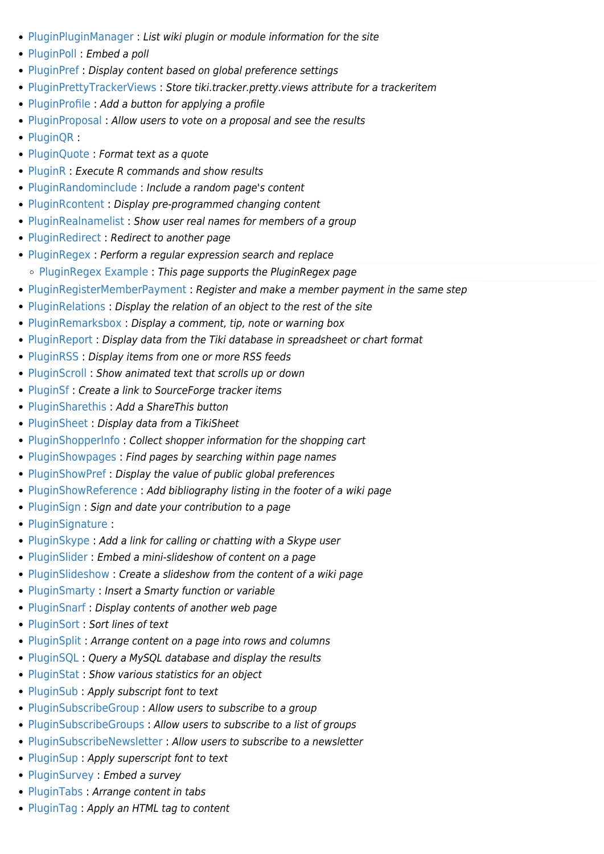- [PluginPluginManager](https://doc.tiki.org/PluginPluginManager) : List wiki plugin or module information for the site
- [PluginPoll](https://doc.tiki.org/PluginPoll) : Embed a poll
- [PluginPref](https://doc.tiki.org/PluginPref) : Display content based on global preference settings
- [PluginPrettyTrackerViews](https://doc.tiki.org/PluginPrettyTrackerViews) : Store tiki.tracker.pretty.views attribute for a trackeritem
- [PluginProfile](https://doc.tiki.org/PluginProfile) : Add a button for applying a profile
- [PluginProposal](https://doc.tiki.org/PluginProposal) : Allow users to vote on a proposal and see the results
- [PluginQR](https://doc.tiki.org/PluginQR) :
- [PluginQuote](https://doc.tiki.org/PluginQuote) : Format text as a quote
- [PluginR](https://doc.tiki.org/PluginR) : Execute R commands and show results
- [PluginRandominclude](https://doc.tiki.org/PluginRandominclude) : Include a random page's content
- [PluginRcontent](https://doc.tiki.org/PluginRcontent) : Display pre-programmed changing content
- [PluginRealnamelist](https://doc.tiki.org/PluginRealnamelist) : Show user real names for members of a group
- [PluginRedirect](https://doc.tiki.org/PluginRedirect) : Redirect to another page
- [PluginRegex](https://doc.tiki.org/PluginRegex) : Perform a regular expression search and replace • [PluginRegex Example](https://doc.tiki.org/PluginRegex-Example) : This page supports the PluginRegex page
- [PluginRegisterMemberPayment](https://doc.tiki.org/PluginRegisterMemberPayment) : Register and make a member payment in the same step
- [PluginRelations](https://doc.tiki.org/PluginRelations) : Display the relation of an object to the rest of the site
- [PluginRemarksbox](https://doc.tiki.org/PluginRemarksbox) : Display a comment, tip, note or warning box
- [PluginReport](https://doc.tiki.org/PluginReport) : Display data from the Tiki database in spreadsheet or chart format
- [PluginRSS](https://doc.tiki.org/PluginRSS) : Display items from one or more RSS feeds
- [PluginScroll](https://doc.tiki.org/PluginScroll) : Show animated text that scrolls up or down
- [PluginSf](https://doc.tiki.org/PluginSf) : Create a link to SourceForge tracker items
- [PluginSharethis](https://doc.tiki.org/PluginSharethis) : Add a ShareThis button
- [PluginSheet](https://doc.tiki.org/PluginSheet) : Display data from a TikiSheet
- [PluginShopperInfo](https://doc.tiki.org/PluginShopperInfo) : Collect shopper information for the shopping cart
- [PluginShowpages](https://doc.tiki.org/PluginShowpages) : Find pages by searching within page names
- [PluginShowPref](https://doc.tiki.org/PluginShowPref) : Display the value of public global preferences
- [PluginShowReference](https://doc.tiki.org/PluginShowReference): Add bibliography listing in the footer of a wiki page
- [PluginSign](https://doc.tiki.org/PluginSign) : Sign and date your contribution to a page
- [PluginSignature](https://doc.tiki.org/PluginSignature) :
- [PluginSkype](https://doc.tiki.org/PluginSkype) : Add a link for calling or chatting with a Skype user
- [PluginSlider](https://doc.tiki.org/PluginSlider) : Embed a mini-slideshow of content on a page
- [PluginSlideshow](https://doc.tiki.org/PluginSlideshow) : Create a slideshow from the content of a wiki page
- [PluginSmarty](https://doc.tiki.org/PluginSmarty) : Insert a Smarty function or variable
- [PluginSnarf](https://doc.tiki.org/PluginSnarf) : Display contents of another web page
- [PluginSort](https://doc.tiki.org/PluginSort) : Sort lines of text
- [PluginSplit](https://doc.tiki.org/PluginSplit) : Arrange content on a page into rows and columns
- [PluginSQL](https://doc.tiki.org/PluginSQL) : Query a MySQL database and display the results
- [PluginStat](https://doc.tiki.org/PluginStat) : Show various statistics for an object
- PluginSub: Apply subscript font to text
- [PluginSubscribeGroup](https://doc.tiki.org/PluginSubscribeGroup) : Allow users to subscribe to a group
- [PluginSubscribeGroups](https://doc.tiki.org/PluginSubscribeGroups) : Allow users to subscribe to a list of groups
- [PluginSubscribeNewsletter](https://doc.tiki.org/PluginSubscribeNewsletter) : Allow users to subscribe to a newsletter
- PluginSup: Apply superscript font to text
- [PluginSurvey](https://doc.tiki.org/PluginSurvey) : Embed a survey
- [PluginTabs](https://doc.tiki.org/PluginTabs) : Arrange content in tabs
- [PluginTag](https://doc.tiki.org/PluginTag) : Apply an HTML tag to content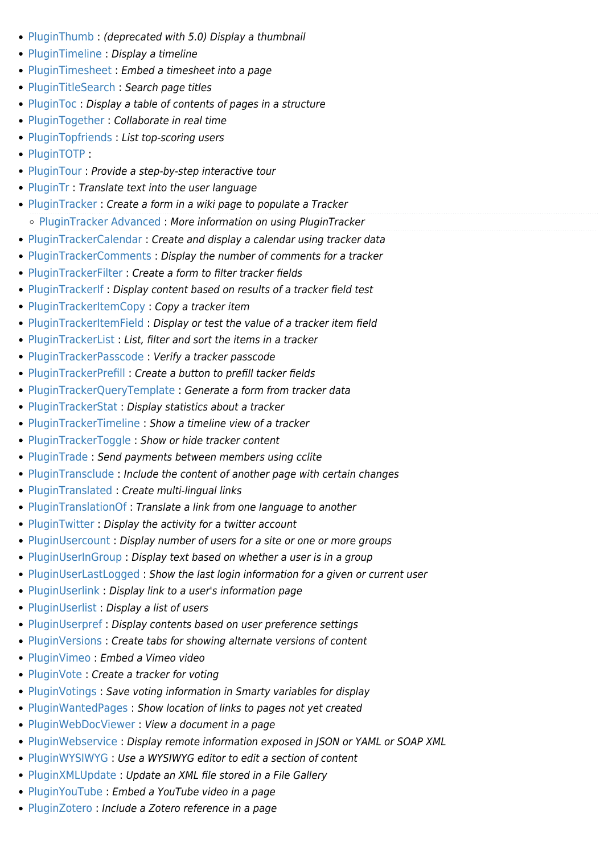- [PluginThumb](https://doc.tiki.org/PluginThumb) : (deprecated with 5.0) Display a thumbnail
- [PluginTimeline](https://doc.tiki.org/PluginTimeline) : Display a timeline
- [PluginTimesheet](https://doc.tiki.org/PluginTimesheet) : Embed a timesheet into a page
- [PluginTitleSearch](https://doc.tiki.org/PluginTitleSearch) : Search page titles
- [PluginToc](https://doc.tiki.org/PluginToc) : Display a table of contents of pages in a structure
- [PluginTogether](https://doc.tiki.org/PluginTogether) : Collaborate in real time
- [PluginTopfriends](https://doc.tiki.org/PluginTopfriends) : List top-scoring users
- [PluginTOTP](https://doc.tiki.org/PluginTOTP) :
- [PluginTour](https://doc.tiki.org/PluginTour) : Provide a step-by-step interactive tour
- [PluginTr](https://doc.tiki.org/PluginTr) : Translate text into the user language
- [PluginTracker](https://doc.tiki.org/PluginTracker) : Create a form in a wiki page to populate a Tracker ○ [PluginTracker Advanced](https://doc.tiki.org/PluginTracker-Advanced) : More information on using PluginTracker
- [PluginTrackerCalendar](https://doc.tiki.org/PluginTrackerCalendar) : Create and display a calendar using tracker data
- [PluginTrackerComments](https://doc.tiki.org/PluginTrackerComments) : Display the number of comments for a tracker
- [PluginTrackerFilter](https://doc.tiki.org/PluginTrackerFilter) : Create a form to filter tracker fields
- [PluginTrackerIf](https://doc.tiki.org/PluginTrackerIf) : Display content based on results of a tracker field test
- [PluginTrackerItemCopy](https://doc.tiki.org/PluginTrackerItemCopy) : Copy a tracker item
- [PluginTrackerItemField](https://doc.tiki.org/PluginTrackerItemField) : Display or test the value of a tracker item field
- [PluginTrackerList](https://doc.tiki.org/PluginTrackerList) : List, filter and sort the items in a tracker
- [PluginTrackerPasscode](https://doc.tiki.org/PluginTrackerPasscode) : Verify a tracker passcode
- [PluginTrackerPrefill](https://doc.tiki.org/PluginTrackerPrefill) : Create a button to prefill tacker fields
- [PluginTrackerQueryTemplate](https://doc.tiki.org/PluginTrackerQueryTemplate) : Generate a form from tracker data
- [PluginTrackerStat](https://doc.tiki.org/PluginTrackerStat) : Display statistics about a tracker
- [PluginTrackerTimeline](https://doc.tiki.org/PluginTrackerTimeline) : Show a timeline view of a tracker
- [PluginTrackerToggle](https://doc.tiki.org/PluginTrackerToggle) : Show or hide tracker content
- [PluginTrade](https://doc.tiki.org/PluginTrade) : Send payments between members using cclite
- [PluginTransclude](https://doc.tiki.org/PluginTransclude) : Include the content of another page with certain changes
- [PluginTranslated](https://doc.tiki.org/PluginTranslated) : Create multi-lingual links
- [PluginTranslationOf](https://doc.tiki.org/PluginTranslationOf) : Translate a link from one language to another
- [PluginTwitter](https://doc.tiki.org/PluginTwitter) : Display the activity for a twitter account
- [PluginUsercount](https://doc.tiki.org/PluginUsercount) : Display number of users for a site or one or more groups
- [PluginUserInGroup](https://doc.tiki.org/PluginUserInGroup) : Display text based on whether a user is in a group
- [PluginUserLastLogged](https://doc.tiki.org/PluginUserLastLogged) : Show the last login information for a given or current user
- [PluginUserlink](https://doc.tiki.org/PluginUserlink) : Display link to a user's information page
- [PluginUserlist](https://doc.tiki.org/PluginUserlist) : Display a list of users
- [PluginUserpref](https://doc.tiki.org/PluginUserpref) : Display contents based on user preference settings
- [PluginVersions](https://doc.tiki.org/PluginVersions) : Create tabs for showing alternate versions of content
- [PluginVimeo](https://doc.tiki.org/PluginVimeo) : Embed a Vimeo video
- [PluginVote](https://doc.tiki.org/PluginVote) : Create a tracker for voting
- [PluginVotings](https://doc.tiki.org/PluginVotings) : Save voting information in Smarty variables for display
- [PluginWantedPages](https://doc.tiki.org/PluginWantedPages) : Show location of links to pages not yet created
- [PluginWebDocViewer](https://doc.tiki.org/PluginWebDocViewer) : View a document in a page
- [PluginWebservice](https://doc.tiki.org/PluginWebservice) : Display remote information exposed in JSON or YAML or SOAP XML
- [PluginWYSIWYG](https://doc.tiki.org/PluginWYSIWYG) : Use a WYSIWYG editor to edit a section of content
- [PluginXMLUpdate](https://doc.tiki.org/PluginXMLUpdate) : Update an XML file stored in a File Gallery
- [PluginYouTube](https://doc.tiki.org/PluginYouTube) : Embed a YouTube video in a page
- [PluginZotero](https://doc.tiki.org/PluginZotero) : Include a Zotero reference in a page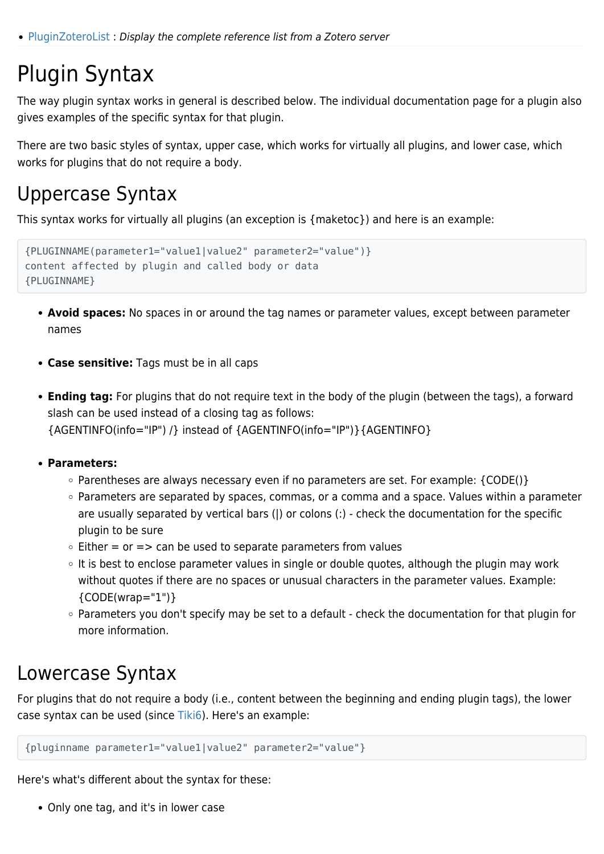• [PluginZoteroList](https://doc.tiki.org/PluginZoteroList) : Display the complete reference list from a Zotero server

### Plugin Syntax

The way plugin syntax works in general is described below. The individual documentation page for a plugin also gives examples of the specific syntax for that plugin.

There are two basic styles of syntax, upper case, which works for virtually all plugins, and lower case, which works for plugins that do not require a body.

#### Uppercase Syntax

This syntax works for virtually all plugins (an exception is {maketoc}) and here is an example:

```
{PLUGINNAME(parameter1="value1|value2" parameter2="value")}
content affected by plugin and called body or data
{PLUGINNAME}
```
- **Avoid spaces:** No spaces in or around the tag names or parameter values, except between parameter names
- **Case sensitive:** Tags must be in all caps
- **Ending tag:** For plugins that do not require text in the body of the plugin (between the tags), a forward slash can be used instead of a closing tag as follows: {AGENTINFO(info="IP") /} instead of {AGENTINFO(info="IP")}{AGENTINFO}
- **Parameters:**
	- $\circ$  Parentheses are always necessary even if no parameters are set. For example: {CODE()}
	- Parameters are separated by spaces, commas, or a comma and a space. Values within a parameter are usually separated by vertical bars (|) or colons (:) - check the documentation for the specific plugin to be sure
	- $\circ$  Either = or => can be used to separate parameters from values
	- $\circ$  It is best to enclose parameter values in single or double quotes, although the plugin may work without quotes if there are no spaces or unusual characters in the parameter values. Example:  ${CODE(wrap="1")}$
	- $\circ$  Parameters you don't specify may be set to a default check the documentation for that plugin for more information.

#### Lowercase Syntax

For plugins that do not require a body (i.e., content between the beginning and ending plugin tags), the lower case syntax can be used (since [Tiki6\)](https://doc.tiki.org/Tiki6). Here's an example:

```
{pluginname parameter1="value1|value2" parameter2="value"}
```
Here's what's different about the syntax for these:

• Only one tag, and it's in lower case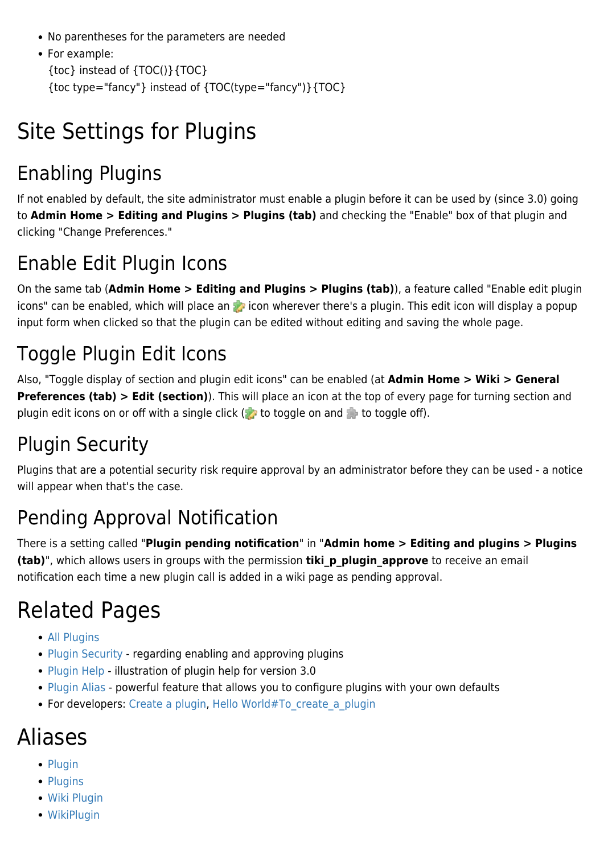- No parentheses for the parameters are needed
- For example: {toc} instead of {TOC()}{TOC} {toc type="fancy"} instead of {TOC(type="fancy")}{TOC}

## Site Settings for Plugins

#### Enabling Plugins

If not enabled by default, the site administrator must enable a plugin before it can be used by (since 3.0) going to **Admin Home > Editing and Plugins > Plugins (tab)** and checking the "Enable" box of that plugin and clicking "Change Preferences."

#### Enable Edit Plugin Icons

On the same tab (**Admin Home > Editing and Plugins > Plugins (tab)**), a feature called "Enable edit plugin icons" can be enabled, which will place an **ic** icon wherever there's a plugin. This edit icon will display a popup input form when clicked so that the plugin can be edited without editing and saving the whole page.

## Toggle Plugin Edit Icons

Also, "Toggle display of section and plugin edit icons" can be enabled (at **Admin Home > Wiki > General Preferences (tab) > Edit (section)**). This will place an icon at the top of every page for turning section and plugin edit icons on or off with a single click ( $\frac{1}{2}$  to toggle on and  $\frac{1}{2}$  to toggle off).

#### Plugin Security

Plugins that are a potential security risk require approval by an administrator before they can be used - a notice will appear when that's the case.

## Pending Approval Notification

There is a setting called "**Plugin pending notification**" in "**Admin home > Editing and plugins > Plugins (tab)**", which allows users in groups with the permission **tiki\_p\_plugin\_approve** to receive an email notification each time a new plugin call is added in a wiki page as pending approval.

## Related Pages

- [All Plugins](https://doc.tiki.org/All-Plugins)
- [Plugin Security](https://doc.tiki.org/Plugin-Security) regarding enabling and approving plugins
- [Plugin Help](https://doc.tiki.org/Plugin-Help) illustration of plugin help for version 3.0
- [Plugin Alias](https://doc.tiki.org/Plugin-Alias) powerful feature that allows you to configure plugins with your own defaults
- For developers: [Create a plugin](http://dev.tiki.org/Create+a+Plugin), Hello World#To create a plugin

#### Aliases

- [Plugin](https://doc.tiki.org/Plugin)
- [Plugins](https://doc.tiki.org/Plugins-2)
- [Wiki Plugin](https://doc.tiki.org/Wiki-Plugin)
- [WikiPlugin](https://doc.tiki.org/WikiPlugin)